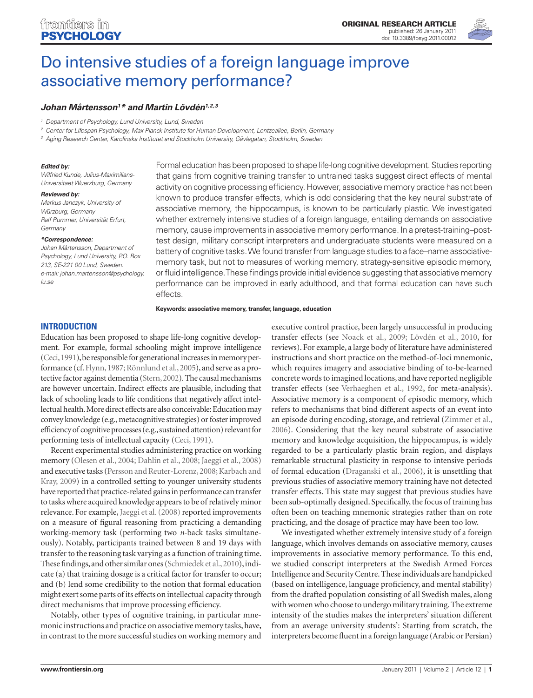

# Do intensive studies of a foreign language improve associative memory performance?

## *Johan Mårtensson1 \* and Martin Lövdén1,2,3*

*<sup>1</sup> Department of Psychology, Lund University, Lund, Sweden*

*<sup>2</sup> Center for Lifespan Psychology, Max Planck Institute for Human Development, Lentzeallee, Berlin, Germany*

*<sup>3</sup> Aging Research Center, Karolinska Institutet and Stockholm University, Gävlegatan, Stockholm, Sweden*

#### *Edited by:*

*Wilfried Kunde, Julius-Maximilians-Universitaet Wuerzburg, Germany*

#### *Reviewed by:*

*Markus Janczyk, University of Würzburg, Germany Ralf Rummer, Universität Erfurt, Germany*

#### *\*Correspondence:*

*Johan Mårtensson, Department of Psychology, Lund University, P.O. Box 213, SE-221 00 Lund, Sweden. e-mail: johan.martensson@psychology. lu.se*

Formal education has been proposed to shape life-long cognitive development. Studies reporting that gains from cognitive training transfer to untrained tasks suggest direct effects of mental activity on cognitive processing efficiency. However, associative memory practice has not been known to produce transfer effects, which is odd considering that the key neural substrate of associative memory, the hippocampus, is known to be particularly plastic. We investigated whether extremely intensive studies of a foreign language, entailing demands on associative memory, cause improvements in associative memory performance. In a pretest-training–posttest design, military conscript interpreters and undergraduate students were measured on a battery of cognitive tasks. We found transfer from language studies to a face–name associativememory task, but not to measures of working memory, strategy-sensitive episodic memory, or fluid intelligence. These findings provide initial evidence suggesting that associative memory performance can be improved in early adulthood, and that formal education can have such effects.

**Keywords: associative memory, transfer, language, education**

## **Introduction**

Education has been proposed to shape life-long cognitive development. For example, formal schooling might improve intelligence (Ceci, 1991), be responsible for generational increases in memory performance (cf. Flynn, 1987; Rönnlund et al., 2005), and serve as a protective factor against dementia (Stern, 2002). The causal mechanisms are however uncertain. Indirect effects are plausible, including that lack of schooling leads to life conditions that negatively affect intellectual health. More direct effects are also conceivable: Education may convey knowledge (e.g., metacognitive strategies) or foster improved efficiency of cognitive processes (e.g., sustained attention) relevant for performing tests of intellectual capacity (Ceci, 1991).

Recent experimental studies administering practice on working memory (Olesen et al., 2004; Dahlin et al., 2008; Jaeggi et al., 2008) and executive tasks (Persson and Reuter-Lorenz, 2008; Karbach and Kray, 2009) in a controlled setting to younger university students have reported that practice-related gains in performance can transfer to tasks where acquired knowledge appears to be of relatively minor relevance. For example, Jaeggi et al. (2008) reported improvements on a measure of figural reasoning from practicing a demanding working-memory task (performing two *n*-back tasks simultaneously). Notably, participants trained between 8 and 19 days with transfer to the reasoning task varying as a function of training time. These findings, and other similar ones (Schmiedek et al., 2010), indicate (a) that training dosage is a critical factor for transfer to occur; and (b) lend some credibility to the notion that formal education might exert some parts of its effects on intellectual capacity through direct mechanisms that improve processing efficiency.

Notably, other types of cognitive training, in particular mnemonic instructions and practice on associative memory tasks, have, in contrast to the more successful studies on working memory and executive control practice, been largely unsuccessful in producing transfer effects (see Noack et al., 2009; Lövdén et al., 2010, for reviews). For example, a large body of literature have administered instructions and short practice on the method-of-loci mnemonic, which requires imagery and associative binding of to-be-learned concrete words to imagined locations, and have reported negligible transfer effects (see Verhaeghen et al., 1992, for meta-analysis). Associative memory is a component of episodic memory, which refers to mechanisms that bind different aspects of an event into an episode during encoding, storage, and retrieval (Zimmer et al., 2006). Considering that the key neural substrate of associative memory and knowledge acquisition, the hippocampus, is widely regarded to be a particularly plastic brain region, and displays remarkable structural plasticity in response to intensive periods of formal education (Draganski et al., 2006), it is unsettling that previous studies of associative memory training have not detected transfer effects. This state may suggest that previous studies have been sub-optimally designed. Specifically, the focus of training has often been on teaching mnemonic strategies rather than on rote practicing, and the dosage of practice may have been too low.

We investigated whether extremely intensive study of a foreign language, which involves demands on associative memory, causes improvements in associative memory performance. To this end, we studied conscript interpreters at the Swedish Armed Forces Intelligence and Security Centre. These individuals are handpicked (based on intelligence, language proficiency, and mental stability) from the drafted population consisting of all Swedish males, along with women who choose to undergo military training. The extreme intensity of the studies makes the interpreters' situation different from an average university students': Starting from scratch, the interpreters become fluent in a foreign language (Arabic or Persian)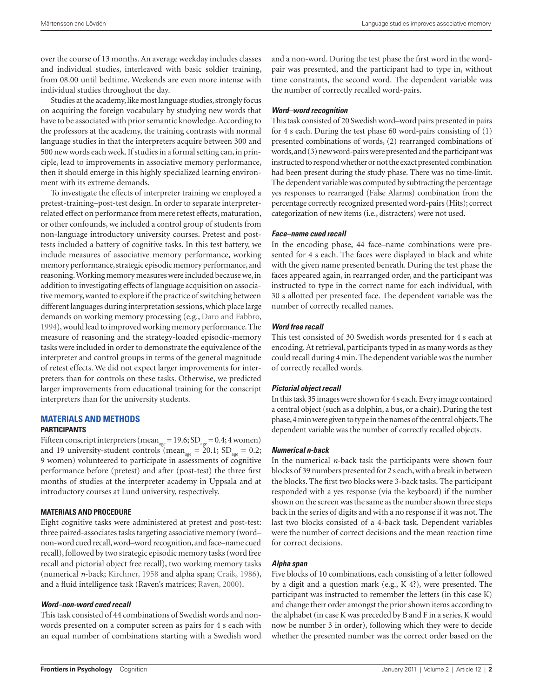over the course of 13 months. An average weekday includes classes and individual studies, interleaved with basic soldier training, from 08.00 until bedtime. Weekends are even more intense with individual studies throughout the day.

Studies at the academy, like most language studies, strongly focus on acquiring the foreign vocabulary by studying new words that have to be associated with prior semantic knowledge. According to the professors at the academy, the training contrasts with normal language studies in that the interpreters acquire between 300 and 500 new words each week. If studies in a formal setting can, in principle, lead to improvements in associative memory performance, then it should emerge in this highly specialized learning environment with its extreme demands.

To investigate the effects of interpreter training we employed a pretest-training–post-test design. In order to separate interpreterrelated effect on performance from mere retest effects, maturation, or other confounds, we included a control group of students from non-language introductory university courses. Pretest and posttests included a battery of cognitive tasks. In this test battery, we include measures of associative memory performance, working memory performance, strategic episodic memory performance, and reasoning. Working memory measures were included because we, in addition to investigating effects of language acquisition on associative memory, wanted to explore if the practice of switching between different languages during interpretation sessions, which place large demands on working memory processing (e.g., Daro and Fabbro, 1994), would lead to improved working memory performance. The measure of reasoning and the strategy-loaded episodic-memory tasks were included in order to demonstrate the equivalence of the interpreter and control groups in terms of the general magnitude of retest effects. We did not expect larger improvements for interpreters than for controls on these tasks. Otherwise, we predicted larger improvements from educational training for the conscript interpreters than for the university students.

## **Materials and Methods Participants**

Fifteen conscript interpreters (mean<sub>age</sub>=19.6;  $SD_{age}$ =0.4; 4 women) and 19 university-student controls (mean<sub>age</sub> =  $20.1$ ; SD<sub>age</sub> = 0.2; 9 women) volunteered to participate in assessments of cognitive performance before (pretest) and after (post-test) the three first months of studies at the interpreter academy in Uppsala and at introductory courses at Lund university, respectively.

#### **Materials and Procedure**

Eight cognitive tasks were administered at pretest and post-test: three paired-associates tasks targeting associative memory (word– non-word cued recall, word–word recognition, and face–name cued recall), followed by two strategic episodic memory tasks (word free recall and pictorial object free recall), two working memory tasks (numerical *n*-back; Kirchner, 1958 and alpha span; Craik, 1986), and a fluid intelligence task (Raven's matrices; Raven, 2000).

#### *Word–non-word cued recall*

This task consisted of 44 combinations of Swedish words and nonwords presented on a computer screen as pairs for 4 s each with an equal number of combinations starting with a Swedish word and a non-word. During the test phase the first word in the wordpair was presented, and the participant had to type in, without time constraints, the second word. The dependent variable was the number of correctly recalled word-pairs.

#### *Word–word recognition*

This task consisted of 20 Swedish word–word pairs presented in pairs for 4 s each. During the test phase 60 word-pairs consisting of (1) presented combinations of words, (2) rearranged combinations of words, and (3) new word-pairs were presented and the participant was instructed to respond whether or not the exact presented combination had been present during the study phase. There was no time-limit. The dependent variable was computed by subtracting the percentage yes responses to rearranged (False Alarms) combination from the percentage correctly recognized presented word-pairs (Hits); correct categorization of new items (i.e., distracters) were not used.

#### *Face–name cued recall*

In the encoding phase, 44 face–name combinations were presented for 4 s each. The faces were displayed in black and white with the given name presented beneath. During the test phase the faces appeared again, in rearranged order, and the participant was instructed to type in the correct name for each individual, with 30 s allotted per presented face. The dependent variable was the number of correctly recalled names.

## *Word free recall*

This test consisted of 30 Swedish words presented for 4 s each at encoding. At retrieval, participants typed in as many words as they could recall during 4 min. The dependent variable was the number of correctly recalled words.

#### *Pictorial object recall*

In this task 35 images were shown for 4 s each. Every image contained a central object (such as a dolphin, a bus, or a chair). During the test phase, 4min were given to type in the names of the central objects. The dependent variable was the number of correctly recalled objects.

#### *Numerical n-back*

In the numerical *n*-back task the participants were shown four blocks of 39 numbers presented for 2 s each, with a break in between the blocks. The first two blocks were 3-back tasks. The participant responded with a yes response (via the keyboard) if the number shown on the screen was the same as the number shown three steps back in the series of digits and with a no response if it was not. The last two blocks consisted of a 4-back task. Dependent variables were the number of correct decisions and the mean reaction time for correct decisions.

#### *Alpha span*

Five blocks of 10 combinations, each consisting of a letter followed by a digit and a question mark (e.g., K 4?), were presented. The participant was instructed to remember the letters (in this case K) and change their order amongst the prior shown items according to the alphabet (in case K was preceded by B and F in a series, K would now be number 3 in order), following which they were to decide whether the presented number was the correct order based on the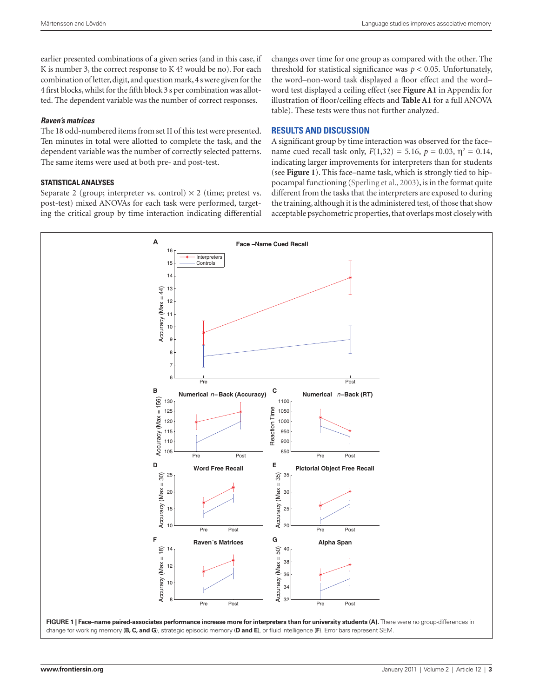earlier presented combinations of a given series (and in this case, if K is number 3, the correct response to K 4? would be no). For each combination of letter, digit, and question mark, 4 s were given for the 4 first blocks, whilst for the fifth block 3 s per combination was allotted. The dependent variable was the number of correct responses.

## *Raven's matrices*

The 18 odd-numbered items from set II of this test were presented. Ten minutes in total were allotted to complete the task, and the dependent variable was the number of correctly selected patterns. The same items were used at both pre- and post-test.

## **Statistical Analyses**

Separate 2 (group; interpreter vs. control)  $\times$  2 (time; pretest vs. post-test) mixed ANOVAs for each task were performed, targeting the critical group by time interaction indicating differential changes over time for one group as compared with the other. The threshold for statistical significance was  $p < 0.05$ . Unfortunately, the word–non-word task displayed a floor effect and the word– word test displayed a ceiling effect (see **Figure A1** in Appendix for illustration of floor/ceiling effects and **Table A1** for a full ANOVA table). These tests were thus not further analyzed.

## **Results and Discussion**

A significant group by time interaction was observed for the face– name cued recall task only,  $F(1,32) = 5.16$ ,  $p = 0.03$ ,  $\eta^2 = 0.14$ , indicating larger improvements for interpreters than for students (see **Figure 1**). This face–name task, which is strongly tied to hippocampal functioning (Sperling et al., 2003), is in the format quite different from the tasks that the interpreters are exposed to during the training, although it is the administered test, of those that show acceptable psychometric properties, that overlaps most closely with

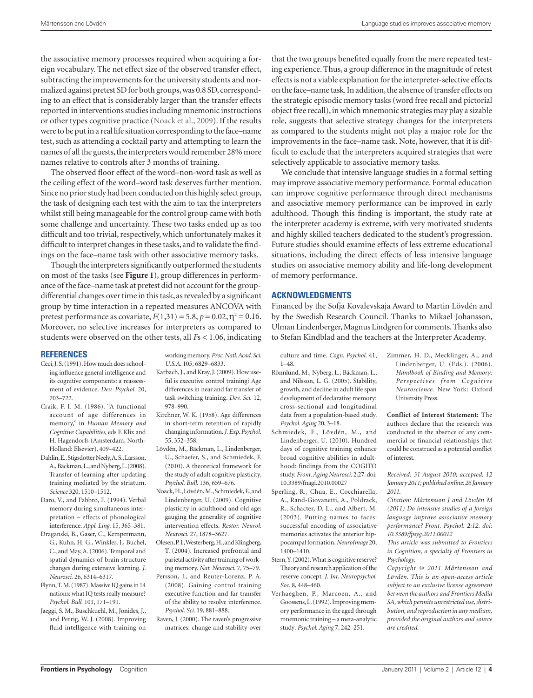the associative memory processes required when acquiring a foreign vocabulary. The net effect size of the observed transfer effect, subtracting the improvements for the university students and normalized against pretest SD for both groups, was 0.8 SD, corresponding to an effect that is considerably larger than the transfer effects reported in interventions studies including mnemonic instructions or other types cognitive practice (Noack et al., 2009). If the results were to be put in a real life situation corresponding to the face–name test, such as attending a cocktail party and attempting to learn the names of all the guests, the interpreters would remember 28% more names relative to controls after 3 months of training.

The observed floor effect of the word–non-word task as well as the ceiling effect of the word–word task deserves further mention. Since no prior study had been conducted on this highly select group, the task of designing each test with the aim to tax the interpreters whilst still being manageable for the control group came with both some challenge and uncertainty. These two tasks ended up as too difficult and too trivial, respectively, which unfortunately makes it difficult to interpret changes in these tasks, and to validate the findings on the face–name task with other associative memory tasks.

Though the interpreters significantly outperformed the students on most of the tasks (see **Figure 1**), group differences in performance of the face–name task at pretest did not account for the groupdifferential changes over time in this task, as revealed by a significant group by time interaction in a repeated measures ANCOVA with pretest performance as covariate,  $F(1,31) = 5.8$ ,  $p = 0.02$ ,  $\eta^2 = 0.16$ . Moreover, no selective increases for interpreters as compared to students were observed on the other tests, all *F*s < 1.06, indicating

## **References**

- Ceci, J. S. (1991). How much does schooling influence general intelligence and its cognitive components: a reassessment of evidence. *Dev. Psychol.* 20, 703–722.
- Craik, F. I. M. (1986). "A functional account of age differences in memory," in *Human Memory and Cognitive Capabilities*, eds F. Klix and H. Hagendorfs (Amsterdam, North-Holland: Elsevier), 409–422.
- Dahlin, E., Stigsdotter Neely, A. S., Larsson, A., Bäckman, L., and Nyberg, L. (2008). Transfer of learning after updating training mediated by the striatum. *Science* 320, 1510–1512.
- Daro, V., and Fabbro, F. (1994). Verbal memory during simultaneous interpretation – effects of phonological interference. *Appl. Ling.* 15, 365–381.
- Draganski, B., Gaser, C., Kempermann, G., Kuhn, H. G., Winkler, J., Buchel, C., and May, A. (2006). Temporal and spatial dynamics of brain structure changes during extensive learning. *J. Neurosci.* 26, 6314–6317.
- Flynn, T. M. (1987). Massive IQ gains in 14 nations: what IQ tests really measure? *Psychol. Bull.* 101, 171–191.
- Jaeggi, S. M., Buschkuehl, M., Jonides, J., and Perrig, W. J. (2008). Improving fluid intelligence with training on

working memory. *Proc. Natl. Acad. Sci. U.S.A.* 105, 6829–6833.

- Karbach, J., and Kray, J. (2009). How useful is executive control training? Age differences in near and far transfer of task switching training. *Dev. Sci.* 12, 978–990.
- Kirchner, W. K. (1958). Age differences in short-term retention of rapidly changing information. *J. Exp. Psychol.* 55, 352–358.
- Lövdén, M., Bäckman, L., Lindenberger, U., Schaefer, S., and Schmiedek, F. (2010). A theoretical framework for the study of adult cognitive plasticity. *Psychol. Bull.* 136, 659–676.
- Noack, H., Lövdén, M., Schmiedek, F., and Lindenberger, U. (2009). Cognitive plasticity in adulthood and old age: gauging the generality of cognitive intervention effects. *Restor. Neurol. Neurosci.* 27, 1878–3627.
- Olesen, P.J., Westerberg, H., and Klingberg, T. (2004). Increased prefrontal and parietal activity after training of working memory. *Nat. Neurosci.* 7, 75–79.
- Persson, J., and Reuter-Lorenz, P. A. (2008). Gaining control training executive function and far transfer of the ability to resolve interference. *Psychol. Sci.* 19, 881–888.
- Raven, J. (2000). The raven's progressive matrices: change and stability over

that the two groups benefited equally from the mere repeated testing experience. Thus, a group difference in the magnitude of retest effects is not a viable explanation for the interpreter-selective effects on the face–name task. In addition, the absence of transfer effects on the strategic episodic memory tasks (word free recall and pictorial object free recall), in which mnemonic strategies may play a sizable role, suggests that selective strategy changes for the interpreters as compared to the students might not play a major role for the improvements in the face–name task. Note, however, that it is difficult to exclude that the interpreters acquired strategies that were selectively applicable to associative memory tasks.

We conclude that intensive language studies in a formal setting may improve associative memory performance. Formal education can improve cognitive performance through direct mechanisms and associative memory performance can be improved in early adulthood. Though this finding is important, the study rate at the interpreter academy is extreme, with very motivated students and highly skilled teachers dedicated to the student's progression. Future studies should examine effects of less extreme educational situations, including the direct effects of less intensive language studies on associative memory ability and life-long development of memory performance.

## **Acknowledgments**

Financed by the Sofja Kovalevskaja Award to Martin Lövdén and by the Swedish Research Council. Thanks to Mikael Johansson, Ulman Lindenberger, Magnus Lindgren for comments. Thanks also to Stefan Kindblad and the teachers at the Interpreter Academy.

culture and time. *Cogn. Psychol.* 41, 1–48.

- Rönnlund, M., Nyberg, L., Bäckman, L., and Nilsson, L. G. (2005). Stability, growth, and decline in adult life span development of declarative memory: cross-sectional and longitudinal data from a population-based study. *Psychol. Aging* 20, 3–18.
- Schmiedek, F., Lövdén, M., and Lindenberger, U. (2010). Hundred days of cognitive training enhance broad cognitive abilities in adulthood: findings from the COGITO study. *Front. Aging Neurosci.* 2:27. doi: 10.3389/fnagi.2010.00027
- Sperling, R., Chua, E., Cocchiarella, A., Rand-Giovanetti, A., Poldrack, R., Schacter, D. L., and Albert, M. (2003). Putting names to faces: successful encoding of associative memories activates the anterior hippocampal formation. *NeuroImage* 20, 1400–1410.
- Stern, Y. (2002). What is cognitive reserve? Theory and research application of the reserve concept. *J. Int. Neuropsychol. Soc.* 8, 448–460.
- Verhaeghen, P., Marcoen, A., and Goossens, L. (1992). Improving memory performance in the aged through mnemonic training – a meta-analytic study*. Psychol. Aging* 7, 242–251.

Zimmer, H. D., Mecklinger, A., and Lindenberger, U. (Eds.). (2006). *Handbook of Binding and Memory: Perspectives from Cognitive Neuroscience.* New York: Oxford University Press.

**Conflict of Interest Statement:** The authors declare that the research was conducted in the absence of any commercial or financial relationships that could be construed as a potential conflict of interest.

*Received: 31 August 2010; accepted: 12 January 2011; published online: 26 January 2011.*

*Citation: Mårtensson J and Lövdén M (2011) Do intensive studies of a foreign language improve associative memory performance? Front. Psychol. 2:12. doi: 10.3389/fpsyg.2011.00012*

*This article was submitted to Frontiers in Cognition, a specialty of Frontiers in Psychology.*

*Copyright © 2011 Mårtensson and Lövdén. This is an open-access article subject to an exclusive license agreement between the authors and Frontiers Media SA, which permits unrestricted use, distribution, and reproduction in any medium, provided the original authors and source are credited.*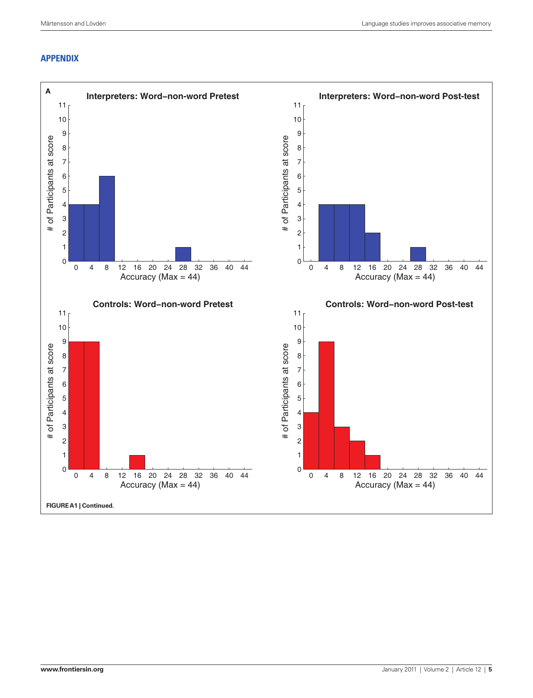# **Appendix**

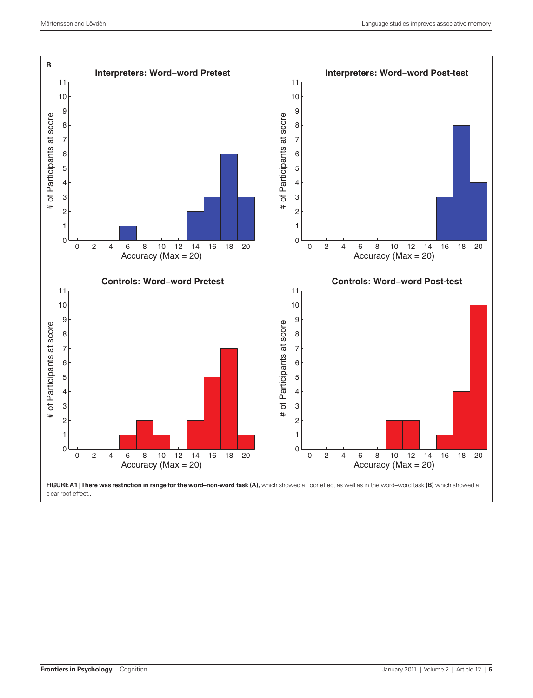

clear roof effect.**.**